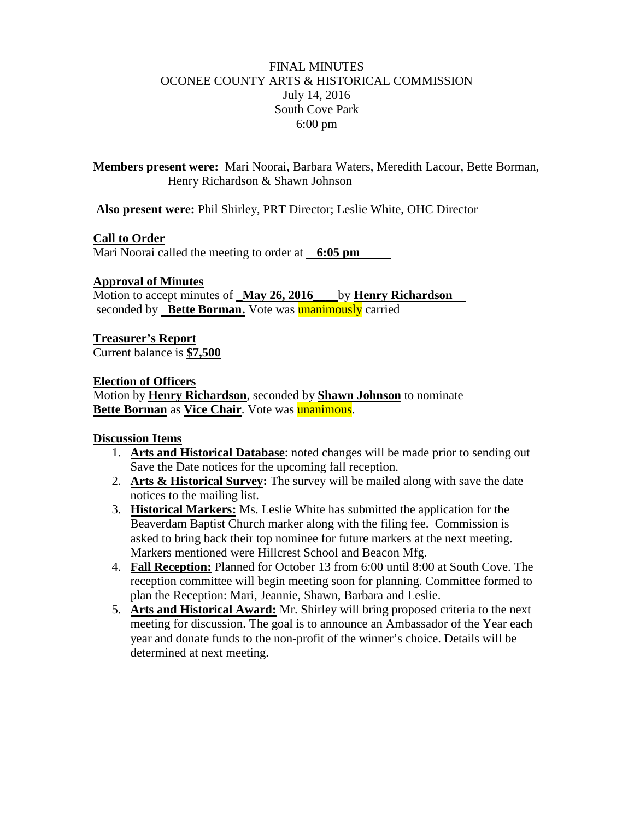## FINAL MINUTES OCONEE COUNTY ARTS & HISTORICAL COMMISSION July 14, 2016 South Cove Park 6:00 pm

**Members present were:** Mari Noorai, Barbara Waters, Meredith Lacour, Bette Borman, Henry Richardson & Shawn Johnson

**Also present were:** Phil Shirley, PRT Director; Leslie White, OHC Director

## **Call to Order**

Mari Noorai called the meeting to order at **6:05 pm**

## **Approval of Minutes**

Motion to accept minutes of **\_May 26, 2016\_\_\_\_**by **Henry Richardson** seconded by **Bette Borman.** Vote was **unanimously** carried

**Treasurer's Report** Current balance is **\$7,500**

#### **Election of Officers**

Motion by **Henry Richardson**, seconded by **Shawn Johnson** to nominate **Bette Borman** as **Vice Chair**. Vote was **unanimous**.

## **Discussion Items**

- 1. **Arts and Historical Database**: noted changes will be made prior to sending out Save the Date notices for the upcoming fall reception.
- 2. **Arts & Historical Survey:** The survey will be mailed along with save the date notices to the mailing list.
- 3. **Historical Markers:** Ms. Leslie White has submitted the application for the Beaverdam Baptist Church marker along with the filing fee. Commission is asked to bring back their top nominee for future markers at the next meeting. Markers mentioned were Hillcrest School and Beacon Mfg.
- 4. **Fall Reception:** Planned for October 13 from 6:00 until 8:00 at South Cove. The reception committee will begin meeting soon for planning. Committee formed to plan the Reception: Mari, Jeannie, Shawn, Barbara and Leslie.
- 5. **Arts and Historical Award:** Mr. Shirley will bring proposed criteria to the next meeting for discussion. The goal is to announce an Ambassador of the Year each year and donate funds to the non-profit of the winner's choice. Details will be determined at next meeting.